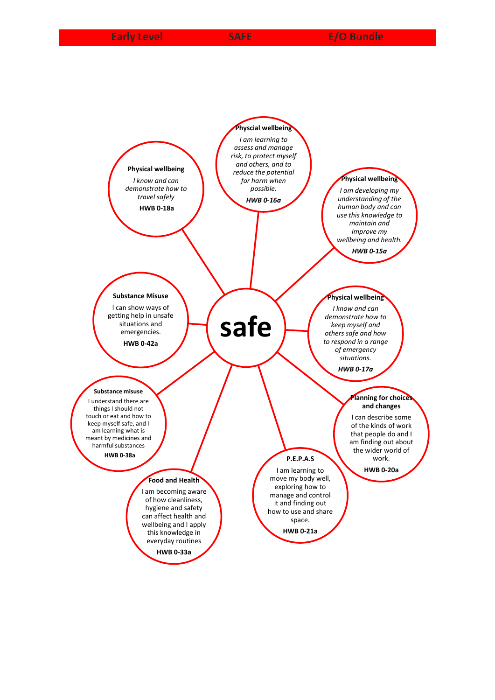